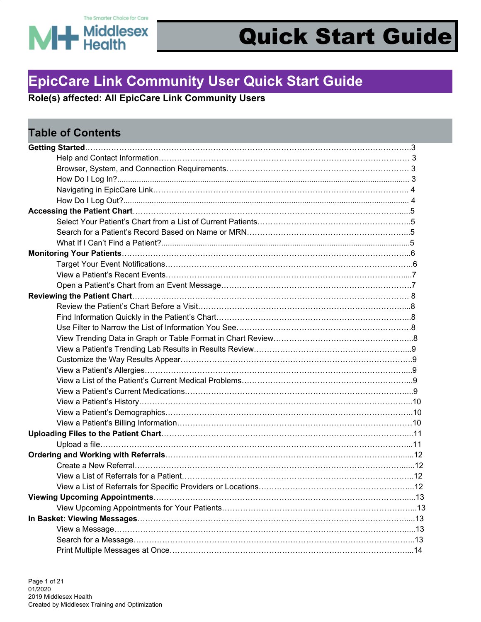

### **EpicCare Link Community User Quick Start Guide**

**Role(s) affected: All EpicCare Link Community Users**

| <b>Table of Contents</b> |  |
|--------------------------|--|
|                          |  |
|                          |  |
|                          |  |
|                          |  |
|                          |  |
|                          |  |
|                          |  |
|                          |  |
|                          |  |
|                          |  |
|                          |  |
|                          |  |
|                          |  |
|                          |  |
|                          |  |
|                          |  |
|                          |  |
|                          |  |
|                          |  |
|                          |  |
|                          |  |
|                          |  |
|                          |  |
|                          |  |
|                          |  |
|                          |  |
|                          |  |
|                          |  |
|                          |  |
|                          |  |
|                          |  |
|                          |  |
|                          |  |
|                          |  |
|                          |  |
|                          |  |
|                          |  |
|                          |  |
|                          |  |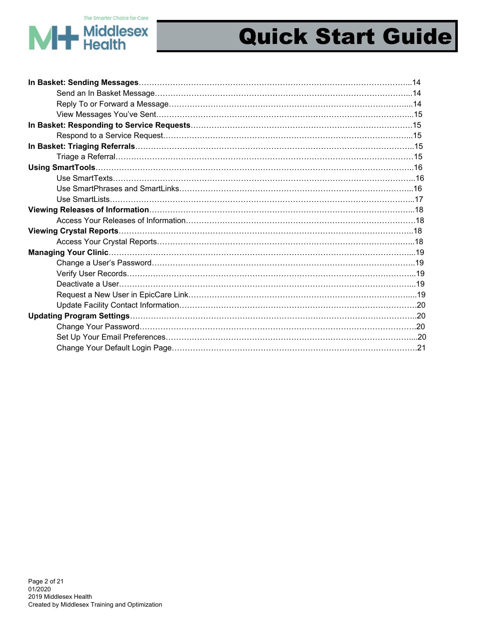

# MH Middlesex

## Quick Start Guide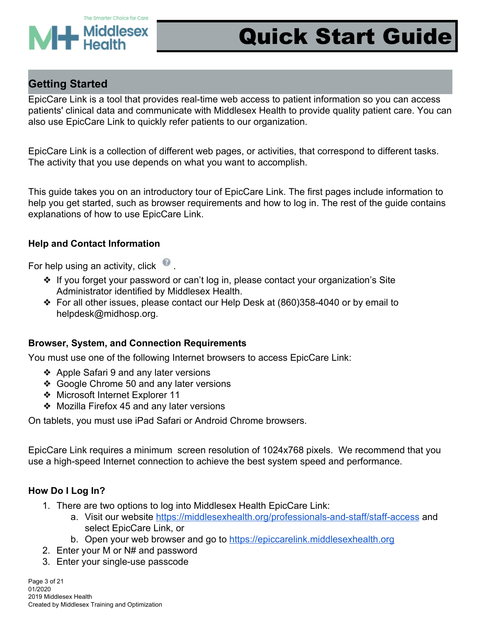

### **Getting Started**

EpicCare Link is a tool that provides real-time web access to patient information so you can access patients' clinical data and communicate with Middlesex Health to provide quality patient care. You can also use EpicCare Link to quickly refer patients to our organization.

EpicCare Link is a collection of different web pages, or activities, that correspond to different tasks. The activity that you use depends on what you want to accomplish.

This guide takes you on an introductory tour of EpicCare Link. The first pages include information to help you get started, such as browser requirements and how to log in. The rest of the guide contains explanations of how to use EpicCare Link.

#### **Help and Contact Information**

For help using an activity, click  $\Box$ 

- ❖ If you forget your password or can't log in, please contact your organization's Site Administrator identified by Middlesex Health.
- ❖ For all other issues, please contact our Help Desk at (860)358-4040 or by email to helpdesk@midhosp.org.

#### **Browser, System, and Connection Requirements**

You must use one of the following Internet browsers to access EpicCare Link:

- ❖ Apple Safari 9 and any later versions
- ❖ Google Chrome 50 and any later versions
- ❖ Microsoft Internet Explorer 11
- ❖ Mozilla Firefox 45 and any later versions

On tablets, you must use iPad Safari or Android Chrome browsers.

EpicCare Link requires a minimum screen resolution of 1024x768 pixels. We recommend that you use a high-speed Internet connection to achieve the best system speed and performance.

#### **How Do I Log In?**

- 1. There are two options to log into Middlesex Health EpicCare Link:
	- a. Visit our website <https://middlesexhealth.org/professionals-and-staff/staff-access> and select EpicCare Link, or
	- b. Open your web browser and go to [https://epiccarelink.middlesexhealth.org](https://epiccarelink.middlesexhealth.org/)
- 2. Enter your M or N# and password
- 3. Enter your single-use passcode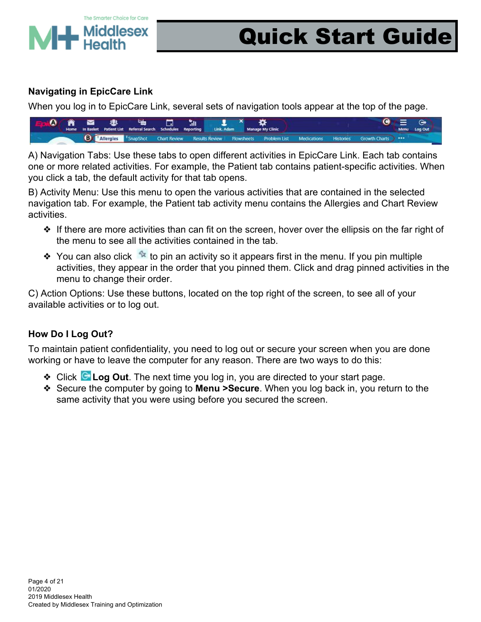

#### **Navigating in EpicCare Link**

When you log in to EpicCare Link, several sets of navigation tools appear at the top of the page.



A) Navigation Tabs: Use these tabs to open different activities in EpicCare Link. Each tab contains one or more related activities. For example, the Patient tab contains patient-specific activities. When you click a tab, the default activity for that tab opens.

B) Activity Menu: Use this menu to open the various activities that are contained in the selected navigation tab. For example, the Patient tab activity menu contains the Allergies and Chart Review activities.

- ❖ If there are more activities than can fit on the screen, hover over the ellipsis on the far right of the menu to see all the activities contained in the tab.
- $\dots$  You can also click  $\lambda$  to pin an activity so it appears first in the menu. If you pin multiple activities, they appear in the order that you pinned them. Click and drag pinned activities in the menu to change their order.

C) Action Options: Use these buttons, located on the top right of the screen, to see all of your available activities or to log out.

#### **How Do I Log Out?**

To maintain patient confidentiality, you need to log out or secure your screen when you are done working or have to leave the computer for any reason. There are two ways to do this:

- ❖ Click **Log Out**. The next time you log in, you are directed to your start page.
- ❖ Secure the computer by going to **Menu >Secure**. When you log back in, you return to the same activity that you were using before you secured the screen.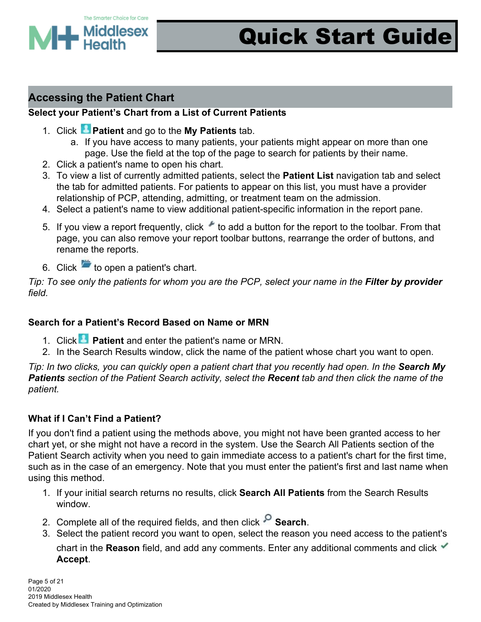

### **Accessing the Patient Chart**

#### **Select your Patient's Chart from a List of Current Patients**

- 1. Click **Patient** and go to the **My Patients** tab.
	- a. If you have access to many patients, your patients might appear on more than one page. Use the field at the top of the page to search for patients by their name.
- 2. Click a patient's name to open his chart.
- 3. To view a list of currently admitted patients, select the **Patient List** navigation tab and select the tab for admitted patients. For patients to appear on this list, you must have a provider relationship of PCP, attending, admitting, or treatment team on the admission.
- 4. Select a patient's name to view additional patient-specific information in the report pane.
- 5. If you view a report frequently, click to add a button for the report to the toolbar. From that page, you can also remove your report toolbar buttons, rearrange the order of buttons, and rename the reports.
- 6. Click  $\blacksquare$  to open a patient's chart.

*Tip: To see only the patients for whom you are the PCP, select your name in the Filter by provider field.*

#### **Search for a Patient's Record Based on Name or MRN**

- 1. Click **Patient** and enter the patient's name or MRN.
- 2. In the Search Results window, click the name of the patient whose chart you want to open.

*Tip: In two clicks, you can quickly open a patient chart that you recently had open. In the Search My Patients section of the Patient Search activity, select the Recent tab and then click the name of the patient.*

#### **What if I Can't Find a Patient?**

If you don't find a patient using the methods above, you might not have been granted access to her chart yet, or she might not have a record in the system. Use the Search All Patients section of the Patient Search activity when you need to gain immediate access to a patient's chart for the first time, such as in the case of an emergency. Note that you must enter the patient's first and last name when using this method.

- 1. If your initial search returns no results, click **Search All Patients** from the Search Results window.
- 2. Complete all of the required fields, and then click **Search**.
- 3. Select the patient record you want to open, select the reason you need access to the patient's chart in the **Reason** field, and add any comments. Enter any additional comments and click **Accept**.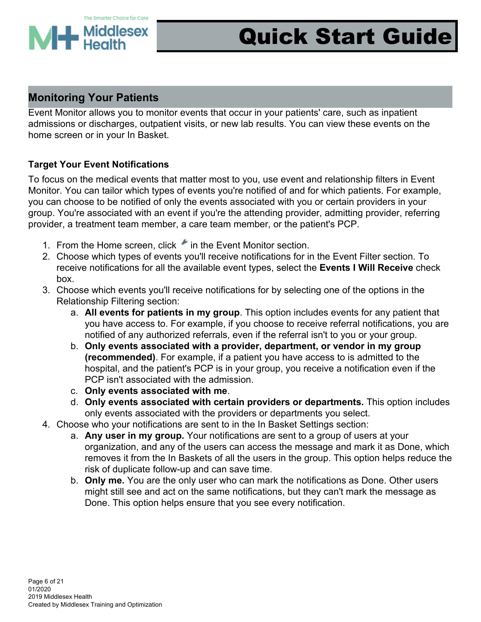

### **Monitoring Your Patients**

Event Monitor allows you to monitor events that occur in your patients' care, such as inpatient admissions or discharges, outpatient visits, or new lab results. You can view these events on the home screen or in your In Basket.

#### **Target Your Event Notifications**

To focus on the medical events that matter most to you, use event and relationship filters in Event Monitor. You can tailor which types of events you're notified of and for which patients. For example, you can choose to be notified of only the events associated with you or certain providers in your group. You're associated with an event if you're the attending provider, admitting provider, referring provider, a treatment team member, a care team member, or the patient's PCP.

- 1. From the Home screen, click in the Event Monitor section.
- 2. Choose which types of events you'll receive notifications for in the Event Filter section. To receive notifications for all the available event types, select the **Events I Will Receive** check box.
- 3. Choose which events you'll receive notifications for by selecting one of the options in the Relationship Filtering section:
	- a. **All events for patients in my group**. This option includes events for any patient that you have access to. For example, if you choose to receive referral notifications, you are notified of any authorized referrals, even if the referral isn't to you or your group.
	- b. **Only events associated with a provider, department, or vendor in my group (recommended)**. For example, if a patient you have access to is admitted to the hospital, and the patient's PCP is in your group, you receive a notification even if the PCP isn't associated with the admission.
	- c. **Only events associated with me**.
	- d. **Only events associated with certain providers or departments.** This option includes only events associated with the providers or departments you select.
- 4. Choose who your notifications are sent to in the In Basket Settings section:
	- a. **Any user in my group.** Your notifications are sent to a group of users at your organization, and any of the users can access the message and mark it as Done, which removes it from the In Baskets of all the users in the group. This option helps reduce the risk of duplicate follow-up and can save time.
	- b. **Only me.** You are the only user who can mark the notifications as Done. Other users might still see and act on the same notifications, but they can't mark the message as Done. This option helps ensure that you see every notification.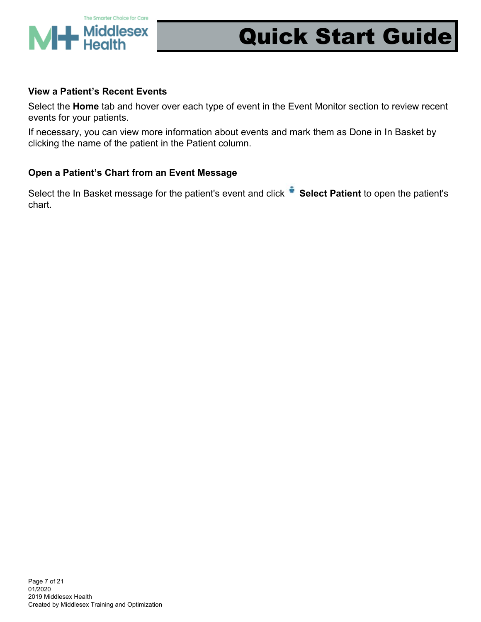

#### **View a Patient's Recent Events**

Select the **Home** tab and hover over each type of event in the Event Monitor section to review recent events for your patients.

If necessary, you can view more information about events and mark them as Done in In Basket by clicking the name of the patient in the Patient column.

#### **Open a Patient's Chart from an Event Message**

Select the In Basket message for the patient's event and click **CE Select Patient** to open the patient's chart.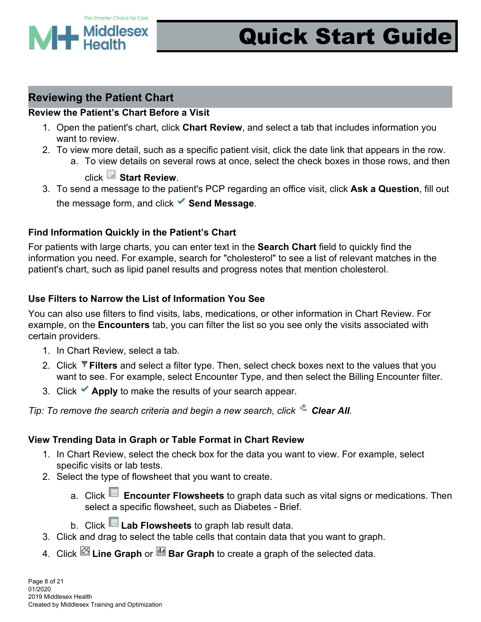

### **Reviewing the Patient Chart**

#### **Review the Patient's Chart Before a Visit**

- 1. Open the patient's chart, click **Chart Review**, and select a tab that includes information you want to review.
- 2. To view more detail, such as a specific patient visit, click the date link that appears in the row.
	- a. To view details on several rows at once, select the check boxes in those rows, and then

### click **Start Review**.

3. To send a message to the patient's PCP regarding an office visit, click **Ask a Question**, fill out the message form, and click **Send Message**.

#### **Find Information Quickly in the Patient's Chart**

For patients with large charts, you can enter text in the **Search Chart** field to quickly find the information you need. For example, search for "cholesterol" to see a list of relevant matches in the patient's chart, such as lipid panel results and progress notes that mention cholesterol.

#### **Use Filters to Narrow the List of Information You See**

You can also use filters to find visits, labs, medications, or other information in Chart Review. For example, on the **Encounters** tab, you can filter the list so you see only the visits associated with certain providers.

- 1. In Chart Review, select a tab.
- 2. Click **Filters** and select a filter type. Then, select check boxes next to the values that you want to see. For example, select Encounter Type, and then select the Billing Encounter filter.
- 3. Click **Apply** to make the results of your search appear.

*Tip: To remove the search criteria and begin a new search, click Clear All.*

#### **View Trending Data in Graph or Table Format in Chart Review**

- 1. In Chart Review, select the check box for the data you want to view. For example, select specific visits or lab tests.
- 2. Select the type of flowsheet that you want to create.
	- a. Click **Encounter Flowsheets** to graph data such as vital signs or medications. Then select a specific flowsheet, such as Diabetes - Brief.
	- b. Click **Lab Flowsheets** to graph lab result data.
- 3. Click and drag to select the table cells that contain data that you want to graph.
- 4. Click **Line Graph** or **Bar Graph** to create a graph of the selected data.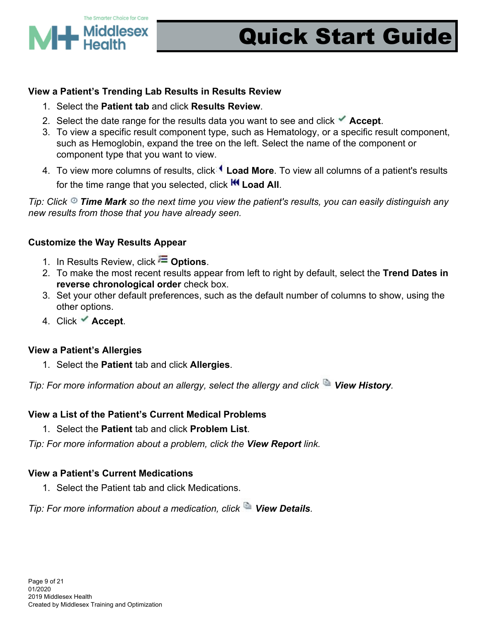

#### **View a Patient's Trending Lab Results in Results Review**

- 1. Select the **Patient tab** and click **Results Review**.
- 2. Select the date range for the results data you want to see and click **Accept**.
- 3. To view a specific result component type, such as Hematology, or a specific result component, such as Hemoglobin, expand the tree on the left. Select the name of the component or component type that you want to view.
- 4. To view more columns of results, click **Load More**. To view all columns of a patient's results for the time range that you selected, click **KI Load All**.

*Tip: Click Time Mark so the next time you view the patient's results, you can easily distinguish any new results from those that you have already seen.*

#### **Customize the Way Results Appear**

- 1. In Results Review, click **Deparations**.
- 2. To make the most recent results appear from left to right by default, select the **Trend Dates in reverse chronological order** check box.
- 3. Set your other default preferences, such as the default number of columns to show, using the other options.
- 4. Click **Accept**.

#### **View a Patient's Allergies**

1. Select the **Patient** tab and click **Allergies**.

*Tip: For more information about an allergy, select the allergy and click View History.*

#### **View a List of the Patient's Current Medical Problems**

1. Select the **Patient** tab and click **Problem List**.

*Tip: For more information about a problem, click the View Report link.*

#### **View a Patient's Current Medications**

1. Select the Patient tab and click Medications.

*Tip: For more information about a medication, click View Details.*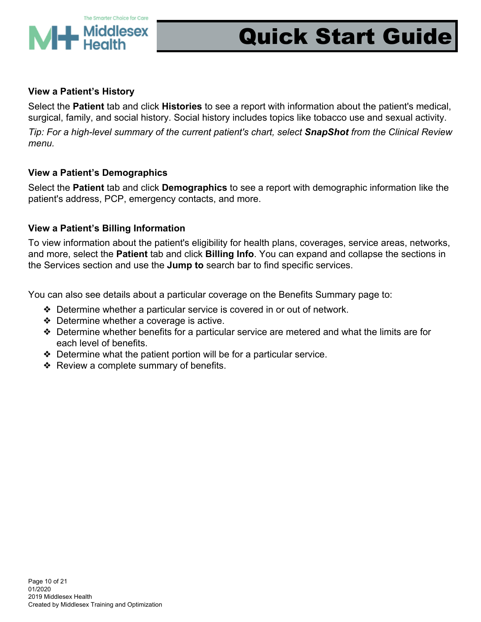

#### **View a Patient's History**

Select the **Patient** tab and click **Histories** to see a report with information about the patient's medical, surgical, family, and social history. Social history includes topics like tobacco use and sexual activity.

*Tip: For a high-level summary of the current patient's chart, select SnapShot from the Clinical Review menu.*

#### **View a Patient's Demographics**

Select the **Patient** tab and click **Demographics** to see a report with demographic information like the patient's address, PCP, emergency contacts, and more.

#### **View a Patient's Billing Information**

To view information about the patient's eligibility for health plans, coverages, service areas, networks, and more, select the **Patient** tab and click **Billing Info**. You can expand and collapse the sections in the Services section and use the **Jump to** search bar to find specific services.

You can also see details about a particular coverage on the Benefits Summary page to:

- ❖ Determine whether a particular service is covered in or out of network.
- ❖ Determine whether a coverage is active.
- ❖ Determine whether benefits for a particular service are metered and what the limits are for each level of benefits.
- ❖ Determine what the patient portion will be for a particular service.
- ❖ Review a complete summary of benefits.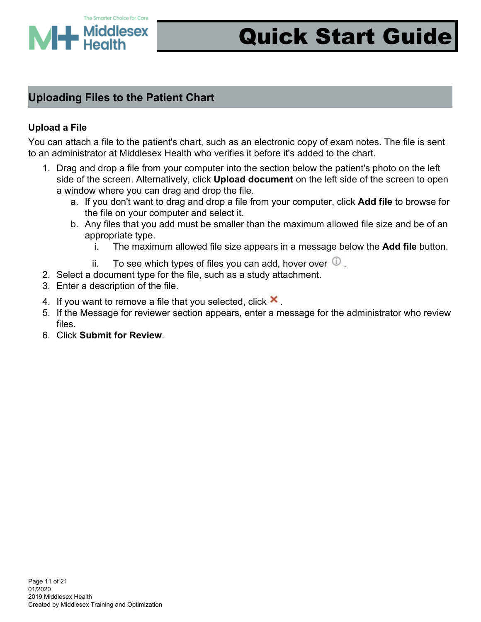

### **Uploading Files to the Patient Chart**

#### **Upload a File**

You can attach a file to the patient's chart, such as an electronic copy of exam notes. The file is sent to an administrator at Middlesex Health who verifies it before it's added to the chart.

- 1. Drag and drop a file from your computer into the section below the patient's photo on the left side of the screen. Alternatively, click **Upload document** on the left side of the screen to open a window where you can drag and drop the file.
	- a. If you don't want to drag and drop a file from your computer, click **Add file** to browse for the file on your computer and select it.
	- b. Any files that you add must be smaller than the maximum allowed file size and be of an appropriate type.
		- i. The maximum allowed file size appears in a message below the **Add file** button.
		- ii. To see which types of files you can add, hover over  $\mathbb{Q}$ .
- 2. Select a document type for the file, such as a study attachment.
- 3. Enter a description of the file.
- 4. If you want to remove a file that you selected, click  $\mathbf{\times}$ .
- 5. If the Message for reviewer section appears, enter a message for the administrator who review files.
- 6. Click **Submit for Review**.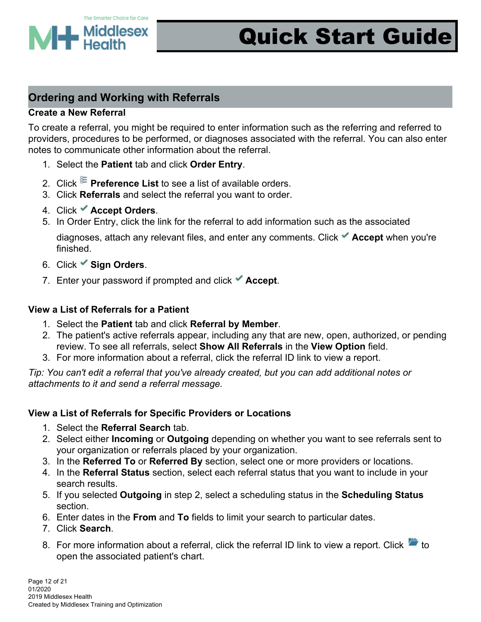

### **Ordering and Working with Referrals**

#### **Create a New Referral**

To create a referral, you might be required to enter information such as the referring and referred to providers, procedures to be performed, or diagnoses associated with the referral. You can also enter notes to communicate other information about the referral.

- 1. Select the **Patient** tab and click **Order Entry**.
- 2. Click **E** Preference List to see a list of available orders.
- 3. Click **Referrals** and select the referral you want to order.
- 4. Click **Accept Orders**.
- 5. In Order Entry, click the link for the referral to add information such as the associated

diagnoses, attach any relevant files, and enter any comments. Click **Accept** when you're finished.

- 6. Click **Sign Orders**.
- 7. Enter your password if prompted and click **Accept**.

#### **View a List of Referrals for a Patient**

- 1. Select the **Patient** tab and click **Referral by Member**.
- 2. The patient's active referrals appear, including any that are new, open, authorized, or pending review. To see all referrals, select **Show All Referrals** in the **View Option** field.
- 3. For more information about a referral, click the referral ID link to view a report.

*Tip: You can't edit a referral that you've already created, but you can add additional notes or attachments to it and send a referral message.*

#### **View a List of Referrals for Specific Providers or Locations**

- 1. Select the **Referral Search** tab.
- 2. Select either **Incoming** or **Outgoing** depending on whether you want to see referrals sent to your organization or referrals placed by your organization.
- 3. In the **Referred To** or **Referred By** section, select one or more providers or locations.
- 4. In the **Referral Status** section, select each referral status that you want to include in your search results.
- 5. If you selected **Outgoing** in step 2, select a scheduling status in the **Scheduling Status** section.
- 6. Enter dates in the **From** and **To** fields to limit your search to particular dates.
- 7. Click **Search**.
- 8. For more information about a referral, click the referral ID link to view a report. Click  $\overline{t}$  to open the associated patient's chart.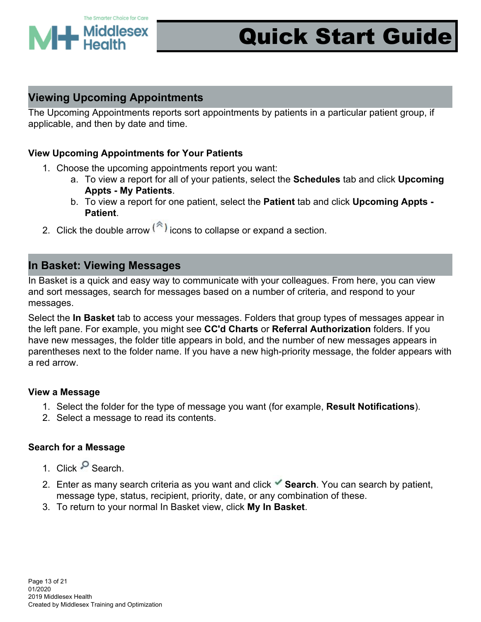

### **Viewing Upcoming Appointments**

The Upcoming Appointments reports sort appointments by patients in a particular patient group, if applicable, and then by date and time.

#### **View Upcoming Appointments for Your Patients**

- 1. Choose the upcoming appointments report you want:
	- a. To view a report for all of your patients, select the **Schedules** tab and click **Upcoming Appts - My Patients**.
	- b. To view a report for one patient, select the **Patient** tab and click **Upcoming Appts - Patient**.
- 2. Click the double arrow  $\binom{a}{k}$  icons to collapse or expand a section.

#### **In Basket: Viewing Messages**

In Basket is a quick and easy way to communicate with your colleagues. From here, you can view and sort messages, search for messages based on a number of criteria, and respond to your messages.

Select the **In Basket** tab to access your messages. Folders that group types of messages appear in the left pane. For example, you might see **CC'd Charts** or **Referral Authorization** folders. If you have new messages, the folder title appears in bold, and the number of new messages appears in parentheses next to the folder name. If you have a new high-priority message, the folder appears with a red arrow.

#### **View a Message**

- 1. Select the folder for the type of message you want (for example, **Result Notifications**).
- 2. Select a message to read its contents.

#### **Search for a Message**

- 1. Click <sup>O</sup> Search.
- 2. Enter as many search criteria as you want and click **Search**. You can search by patient, message type, status, recipient, priority, date, or any combination of these.
- 3. To return to your normal In Basket view, click **My In Basket**.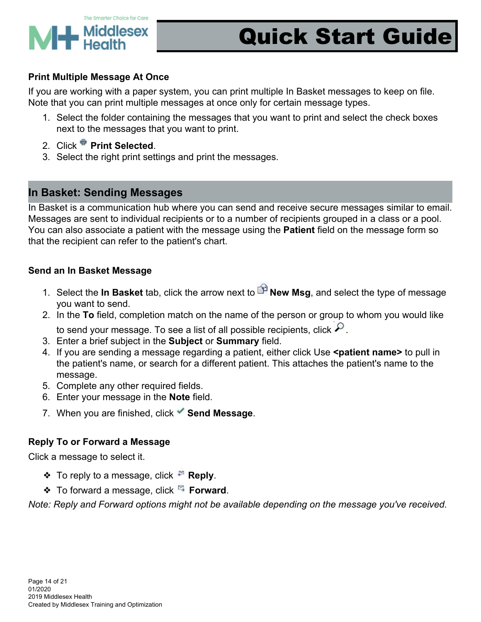

#### **Print Multiple Message At Once**

If you are working with a paper system, you can print multiple In Basket messages to keep on file. Note that you can print multiple messages at once only for certain message types.

- 1. Select the folder containing the messages that you want to print and select the check boxes next to the messages that you want to print.
- 2. Click **Print Selected**.
- 3. Select the right print settings and print the messages.

### **In Basket: Sending Messages**

In Basket is a communication hub where you can send and receive secure messages similar to email. Messages are sent to individual recipients or to a number of recipients grouped in a class or a pool. You can also associate a patient with the message using the **Patient** field on the message form so that the recipient can refer to the patient's chart.

#### **Send an In Basket Message**

- 1. Select the **In Basket** tab, click the arrow next to **P** New Msg, and select the type of message you want to send.
- 2. In the **To** field, completion match on the name of the person or group to whom you would like to send your message. To see a list of all possible recipients, click  $\mathcal P$ .
- 3. Enter a brief subject in the **Subject** or **Summary** field.
- 4. If you are sending a message regarding a patient, either click Use **<patient name>** to pull in the patient's name, or search for a different patient. This attaches the patient's name to the message.
- 5. Complete any other required fields.
- 6. Enter your message in the **Note** field.
- 7. When you are finished, click **Send Message**.

#### **Reply To or Forward a Message**

Click a message to select it.

- **❖** To reply to a message, click <sup>■</sup> Reply.
- ❖ To forward a message, click **Forward**.

*Note: Reply and Forward options might not be available depending on the message you've received.*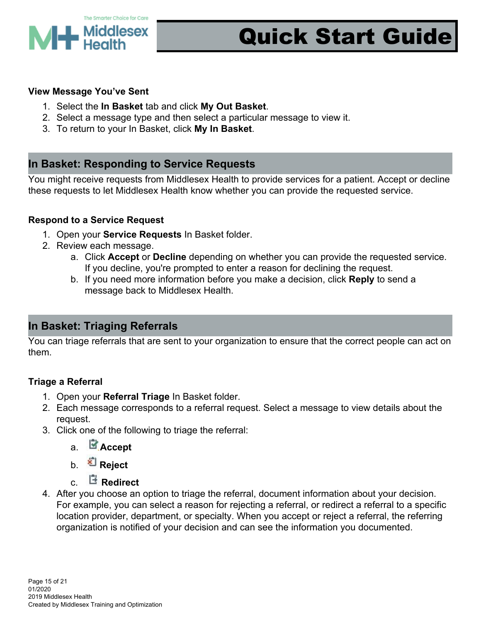

#### **View Message You've Sent**

- 1. Select the **In Basket** tab and click **My Out Basket**.
- 2. Select a message type and then select a particular message to view it.
- 3. To return to your In Basket, click **My In Basket**.

### **In Basket: Responding to Service Requests**

You might receive requests from Middlesex Health to provide services for a patient. Accept or decline these requests to let Middlesex Health know whether you can provide the requested service.

#### **Respond to a Service Request**

- 1. Open your **Service Requests** In Basket folder.
- 2. Review each message.
	- a. Click **Accept** or **Decline** depending on whether you can provide the requested service. If you decline, you're prompted to enter a reason for declining the request.
	- b. If you need more information before you make a decision, click **Reply** to send a message back to Middlesex Health.

### **In Basket: Triaging Referrals**

You can triage referrals that are sent to your organization to ensure that the correct people can act on them.

#### **Triage a Referral**

- 1. Open your **Referral Triage** In Basket folder.
- 2. Each message corresponds to a referral request. Select a message to view details about the request.
- 3. Click one of the following to triage the referral:
	- a. **Accept**
	- b. **Reject**
	- c. **Redirect**
- 4. After you choose an option to triage the referral, document information about your decision. For example, you can select a reason for rejecting a referral, or redirect a referral to a specific location provider, department, or specialty. When you accept or reject a referral, the referring organization is notified of your decision and can see the information you documented.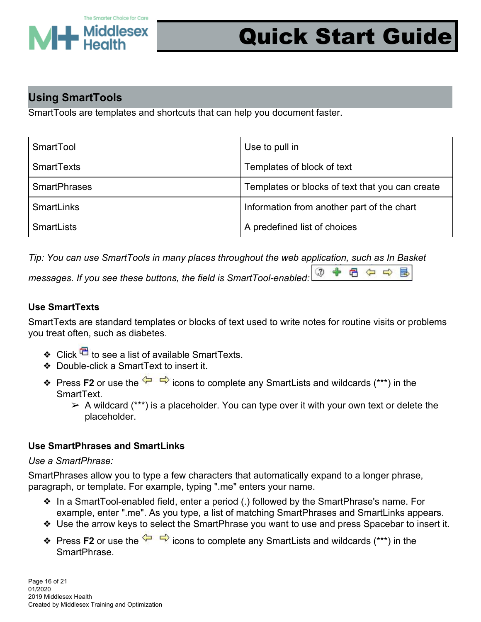

 $\omega$ 

日白の

昆

### **Using SmartTools**

SmartTools are templates and shortcuts that can help you document faster.

| SmartTool           | Use to pull in                                  |
|---------------------|-------------------------------------------------|
| <b>SmartTexts</b>   | Templates of block of text                      |
| <b>SmartPhrases</b> | Templates or blocks of text that you can create |
| <b>SmartLinks</b>   | Information from another part of the chart      |
| <b>SmartLists</b>   | A predefined list of choices                    |

*Tip: You can use SmartTools in many places throughout the web application, such as In Basket*

*messages. If you see these buttons, the field is SmartTool-enabled:*

#### **Use SmartTexts**

SmartTexts are standard templates or blocks of text used to write notes for routine visits or problems you treat often, such as diabetes.

- ❖ Click  $\overline{\mathbb{C}}$  to see a list of available SmartTexts.
- ❖ Double-click a SmartText to insert it.
- **Ex** Press **F2** or use the  $\overleftrightarrow{ }$  icons to complete any SmartLists and wildcards (\*\*\*) in the SmartText.
	- $\triangleright$  A wildcard (\*\*\*) is a placeholder. You can type over it with your own text or delete the placeholder.

#### **Use SmartPhrases and SmartLinks**

#### *Use a SmartPhrase:*

SmartPhrases allow you to type a few characters that automatically expand to a longer phrase, paragraph, or template. For example, typing ".me" enters your name.

- ❖ In a SmartTool-enabled field, enter a period (.) followed by the SmartPhrase's name. For example, enter ".me". As you type, a list of matching SmartPhrases and SmartLinks appears.
- ❖ Use the arrow keys to select the SmartPhrase you want to use and press Spacebar to insert it.
- **❖** Press **F2** or use the  $\overleftrightarrow{ }$   $\overrightarrow{ }$  icons to complete any SmartLists and wildcards (\*\*\*) in the SmartPhrase.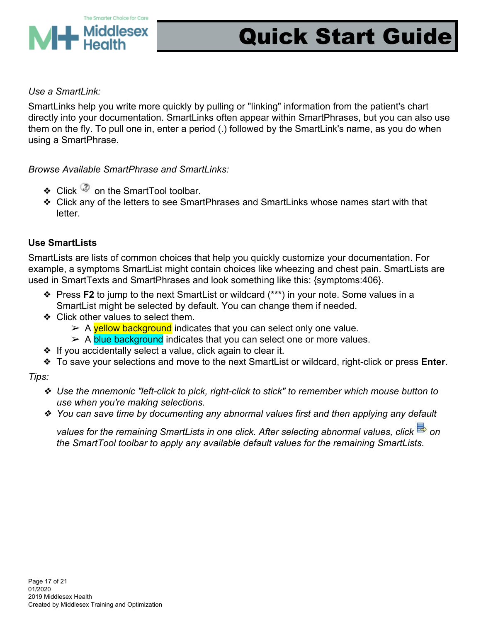

#### *Use a SmartLink:*

SmartLinks help you write more quickly by pulling or "linking" information from the patient's chart directly into your documentation. SmartLinks often appear within SmartPhrases, but you can also use them on the fly. To pull one in, enter a period (.) followed by the SmartLink's name, as you do when using a SmartPhrase.

*Browse Available SmartPhrase and SmartLinks:*

- ❖ Click  $\mathbb{Q}$  on the SmartTool toolbar.
- ❖ Click any of the letters to see SmartPhrases and SmartLinks whose names start with that letter.

#### **Use SmartLists**

SmartLists are lists of common choices that help you quickly customize your documentation. For example, a symptoms SmartList might contain choices like wheezing and chest pain. SmartLists are used in SmartTexts and SmartPhrases and look something like this: {symptoms:406}.

- ❖ Press **F2** to jump to the next SmartList or wildcard (\*\*\*) in your note. Some values in a SmartList might be selected by default. You can change them if needed.
- ❖ Click other values to select them.
	- $\triangleright$  A vellow background indicates that you can select only one value.
	- ► A blue background indicates that you can select one or more values.
- ❖ If you accidentally select a value, click again to clear it.
- ❖ To save your selections and move to the next SmartList or wildcard, right-click or press **Enter**.

*Tips:*

- ❖ *Use the mnemonic "left-click to pick, right-click to stick" to remember which mouse button to use when you're making selections.*
- ❖ *You can save time by documenting any abnormal values first and then applying any default*

*values for the remaining SmartLists in one click. After selecting abnormal values, click on the SmartTool toolbar to apply any available default values for the remaining SmartLists.*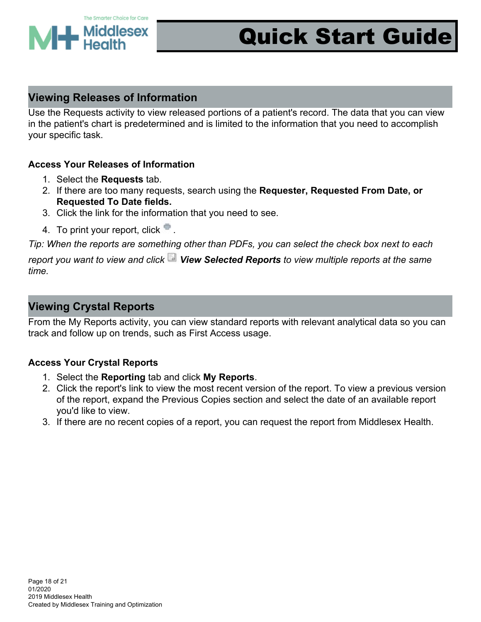

### **Viewing Releases of Information**

Use the Requests activity to view released portions of a patient's record. The data that you can view in the patient's chart is predetermined and is limited to the information that you need to accomplish your specific task.

#### **Access Your Releases of Information**

- 1. Select the **Requests** tab.
- 2. If there are too many requests, search using the **Requester, Requested From Date, or Requested To Date fields.**
- 3. Click the link for the information that you need to see.
- 4. To print your report, click ...

*Tip: When the reports are something other than PDFs, you can select the check box next to each*

*report you want to view and click View Selected Reports to view multiple reports at the same time.*

### **Viewing Crystal Reports**

From the My Reports activity, you can view standard reports with relevant analytical data so you can track and follow up on trends, such as First Access usage.

#### **Access Your Crystal Reports**

- 1. Select the **Reporting** tab and click **My Reports**.
- 2. Click the report's link to view the most recent version of the report. To view a previous version of the report, expand the Previous Copies section and select the date of an available report you'd like to view.
- 3. If there are no recent copies of a report, you can request the report from Middlesex Health.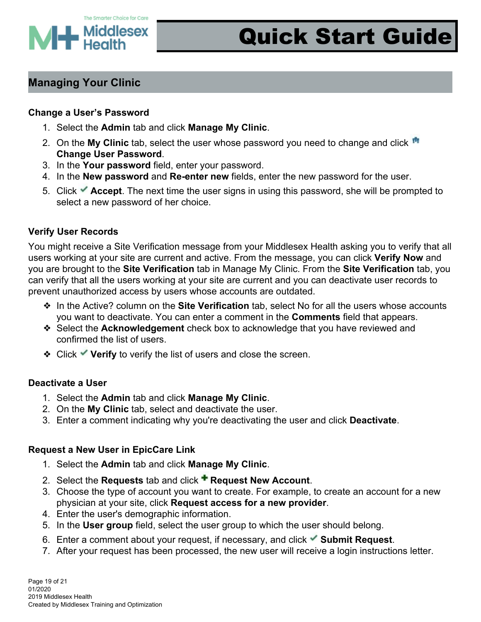

### **Managing Your Clinic**

#### **Change a User's Password**

- 1. Select the **Admin** tab and click **Manage My Clinic**.
- 2. On the **My Clinic** tab, select the user whose password you need to change and click **Change User Password**.
- 3. In the **Your password** field, enter your password.
- 4. In the **New password** and **Re-enter new** fields, enter the new password for the user.
- 5. Click **Accept**. The next time the user signs in using this password, she will be prompted to select a new password of her choice.

#### **Verify User Records**

You might receive a Site Verification message from your Middlesex Health asking you to verify that all users working at your site are current and active. From the message, you can click **Verify Now** and you are brought to the **Site Verification** tab in Manage My Clinic. From the **Site Verification** tab, you can verify that all the users working at your site are current and you can deactivate user records to prevent unauthorized access by users whose accounts are outdated.

- ❖ In the Active? column on the **Site Verification** tab, select No for all the users whose accounts you want to deactivate. You can enter a comment in the **Comments** field that appears.
- ❖ Select the **Acknowledgement** check box to acknowledge that you have reviewed and confirmed the list of users.
- ❖ Click **Verify** to verify the list of users and close the screen.

#### **Deactivate a User**

- 1. Select the **Admin** tab and click **Manage My Clinic**.
- 2. On the **My Clinic** tab, select and deactivate the user.
- 3. Enter a comment indicating why you're deactivating the user and click **Deactivate**.

#### **Request a New User in EpicCare Link**

- 1. Select the **Admin** tab and click **Manage My Clinic**.
- 2. Select the **Requests** tab and click **Request New Account**.
- 3. Choose the type of account you want to create. For example, to create an account for a new physician at your site, click **Request access for a new provider**.
- 4. Enter the user's demographic information.
- 5. In the **User group** field, select the user group to which the user should belong.
- 6. Enter a comment about your request, if necessary, and click **Submit Request**.
- 7. After your request has been processed, the new user will receive a login instructions letter.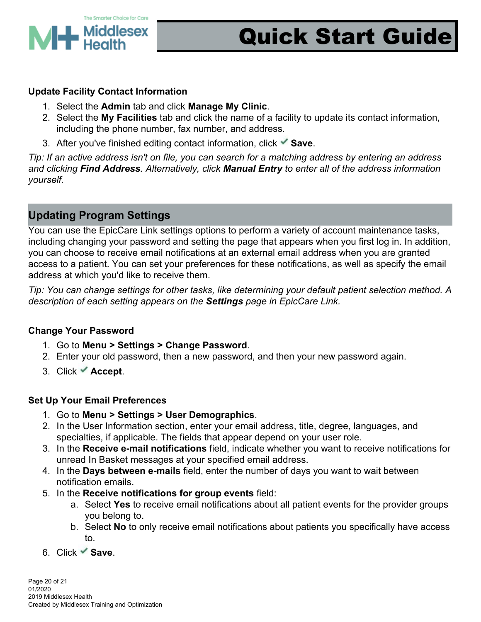

#### **Update Facility Contact Information**

- 1. Select the **Admin** tab and click **Manage My Clinic**.
- 2. Select the **My Facilities** tab and click the name of a facility to update its contact information, including the phone number, fax number, and address.
- 3. After you've finished editing contact information, click **Save**.

*Tip: If an active address isn't on file, you can search for a matching address by entering an address and clicking Find Address. Alternatively, click Manual Entry to enter all of the address information yourself.*

### **Updating Program Settings**

You can use the EpicCare Link settings options to perform a variety of account maintenance tasks, including changing your password and setting the page that appears when you first log in. In addition, you can choose to receive email notifications at an external email address when you are granted access to a patient. You can set your preferences for these notifications, as well as specify the email address at which you'd like to receive them.

*Tip: You can change settings for other tasks, like determining your default patient selection method. A description of each setting appears on the Settings page in EpicCare Link.*

#### **Change Your Password**

- 1. Go to **Menu > Settings > Change Password**.
- 2. Enter your old password, then a new password, and then your new password again.
- 3. Click **Accept**.

#### **Set Up Your Email Preferences**

- 1. Go to **Menu > Settings > User Demographics**.
- 2. In the User Information section, enter your email address, title, degree, languages, and specialties, if applicable. The fields that appear depend on your user role.
- 3. In the **Receive e-mail notifications** field, indicate whether you want to receive notifications for unread In Basket messages at your specified email address.
- 4. In the **Days between e-mails** field, enter the number of days you want to wait between notification emails.
- 5. In the **Receive notifications for group events** field:
	- a. Select **Yes** to receive email notifications about all patient events for the provider groups you belong to.
	- b. Select **No** to only receive email notifications about patients you specifically have access to.
- 6. Click **Save**.